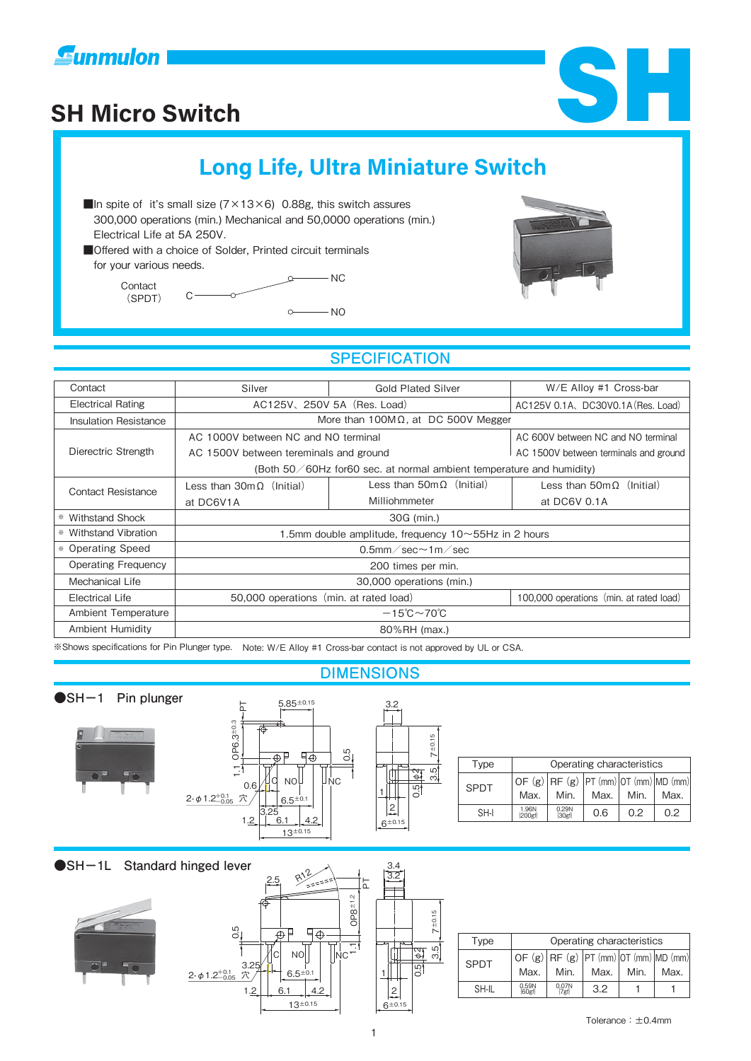





# **Long Life, Ultra Miniature Switch**

- In spite of it's small size  $(7 \times 13 \times 6)$  0.88g, this switch assures 300,000 operations (min.) Mechanical and 50,0000 operations (min.) Electrical Life at 5A 250V.
- ■Offered with a choice of Solder, Printed circuit terminals for your various needs.

Contact (SPDT)



### **SPECIFICATION**

| Contact                                                                                                        | Silver                                                               | <b>Gold Plated Silver</b>                | W/E Alloy #1 Cross-bar                   |  |  |  |  |
|----------------------------------------------------------------------------------------------------------------|----------------------------------------------------------------------|------------------------------------------|------------------------------------------|--|--|--|--|
| <b>Electrical Rating</b>                                                                                       | AC125V, 250V 5A (Res. Load)                                          | AC125V 0.1A, DC30V0.1A (Res. Load)       |                                          |  |  |  |  |
| <b>Insulation Resistance</b>                                                                                   | More than $100M\Omega$ , at DC 500V Megger                           |                                          |                                          |  |  |  |  |
| Dierectric Strength                                                                                            | AC 1000V between NC and NO terminal                                  | AC 600V between NC and NO terminal       |                                          |  |  |  |  |
|                                                                                                                | AC 1500V between tereminals and ground                               | AC 1500V between terminals and ground    |                                          |  |  |  |  |
|                                                                                                                | (Both 50/60Hz for60 sec. at normal ambient temperature and humidity) |                                          |                                          |  |  |  |  |
| <b>Contact Resistance</b>                                                                                      | Less than $30m\Omega$ (Initial)                                      | Less than $50 \text{m} \Omega$ (Initial) | Less than $50 \text{m} \Omega$ (Initial) |  |  |  |  |
|                                                                                                                | at DC6V1A                                                            | Milliohmmeter                            | at DC6V 0.1A                             |  |  |  |  |
| * Withstand Shock                                                                                              | 30G (min.)                                                           |                                          |                                          |  |  |  |  |
| * Withstand Vibration                                                                                          | 1.5mm double amplitude, frequency 10~55Hz in 2 hours                 |                                          |                                          |  |  |  |  |
| * Operating Speed                                                                                              | 0.5mm $\sqrt{\text{sec}}$ 1m $\sqrt{\text{sec}}$                     |                                          |                                          |  |  |  |  |
| <b>Operating Frequency</b>                                                                                     | 200 times per min.                                                   |                                          |                                          |  |  |  |  |
| Mechanical Life                                                                                                | 30,000 operations (min.)                                             |                                          |                                          |  |  |  |  |
| <b>Electrical Life</b>                                                                                         | 50,000 operations (min. at rated load)                               |                                          | 100,000 operations (min. at rated load)  |  |  |  |  |
| Ambient Temperature                                                                                            | $-15^{\circ}$ C $\sim$ 70 $^{\circ}$ C                               |                                          |                                          |  |  |  |  |
| Ambient Humidity                                                                                               | 80%RH (max.)                                                         |                                          |                                          |  |  |  |  |
| *Shows specifications for Pin Plunger type. Note: W/E Alloy #1 Cross-bar contact is not approved by UL or CSA. |                                                                      |                                          |                                          |  |  |  |  |

## **DIMENSIONS**

#### **●SH-1 Pin plunger**





3.2 3.4

| Type        | Operating characteristics |                             |                                                   |      |      |
|-------------|---------------------------|-----------------------------|---------------------------------------------------|------|------|
| <b>SPDT</b> | Max.                      | Min.                        | OF (g) $RF$ (g) $PT$ (mm) OT (mm) MD (mm)<br>Max. | Min. | Max. |
| SH-I        | 1.96N<br>200gf            | 0.29N<br> 30 <sub>g</sub> f | 0.6                                               | 0.2  | 0.2  |

### **●SH-1L Standard hinged lever**





| Type        | Operating characteristics |                             |                                                   |      |      |
|-------------|---------------------------|-----------------------------|---------------------------------------------------|------|------|
| <b>SPDT</b> | Max.                      | Min.                        | OF (g) $RF$ (g) $PT$ (mm) OT (mm) MD (mm)<br>Max. | Min. | Max. |
| SH-II       | 0.59N<br>60gf             | 0.07N<br>[7 <sub>gf</sub> ] | 3.2                                               |      |      |

1

3.5

0.5 φ2

 $±0.15$